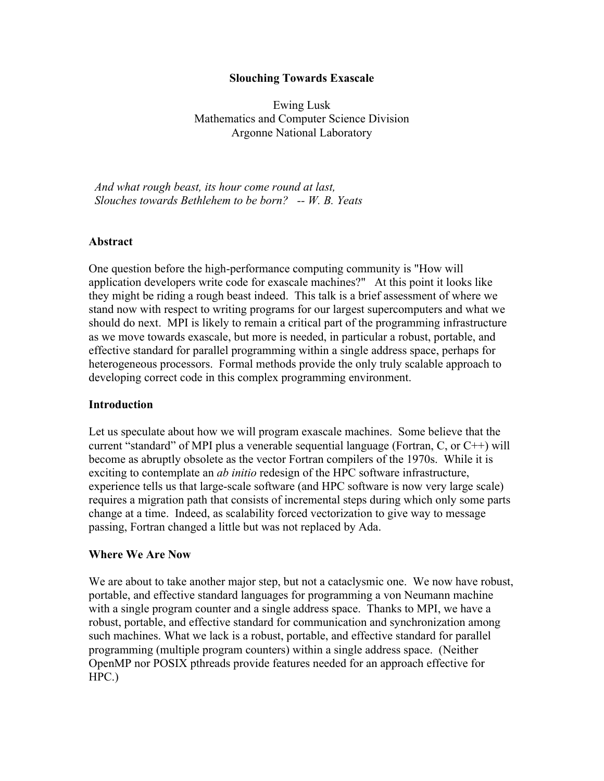#### **Slouching Towards Exascale**

Ewing Lusk Mathematics and Computer Science Division Argonne National Laboratory

 *And what rough beast, its hour come round at last, Slouches towards Bethlehem to be born? -- W. B. Yeats*

#### **Abstract**

One question before the high-performance computing community is "How will application developers write code for exascale machines?" At this point it looks like they might be riding a rough beast indeed. This talk is a brief assessment of where we stand now with respect to writing programs for our largest supercomputers and what we should do next. MPI is likely to remain a critical part of the programming infrastructure as we move towards exascale, but more is needed, in particular a robust, portable, and effective standard for parallel programming within a single address space, perhaps for heterogeneous processors. Formal methods provide the only truly scalable approach to developing correct code in this complex programming environment.

### **Introduction**

Let us speculate about how we will program exascale machines. Some believe that the current "standard" of MPI plus a venerable sequential language (Fortran, C, or C++) will become as abruptly obsolete as the vector Fortran compilers of the 1970s. While it is exciting to contemplate an *ab initio* redesign of the HPC software infrastructure, experience tells us that large-scale software (and HPC software is now very large scale) requires a migration path that consists of incremental steps during which only some parts change at a time. Indeed, as scalability forced vectorization to give way to message passing, Fortran changed a little but was not replaced by Ada.

### **Where We Are Now**

We are about to take another major step, but not a cataclysmic one. We now have robust, portable, and effective standard languages for programming a von Neumann machine with a single program counter and a single address space. Thanks to MPI, we have a robust, portable, and effective standard for communication and synchronization among such machines. What we lack is a robust, portable, and effective standard for parallel programming (multiple program counters) within a single address space. (Neither OpenMP nor POSIX pthreads provide features needed for an approach effective for HPC.)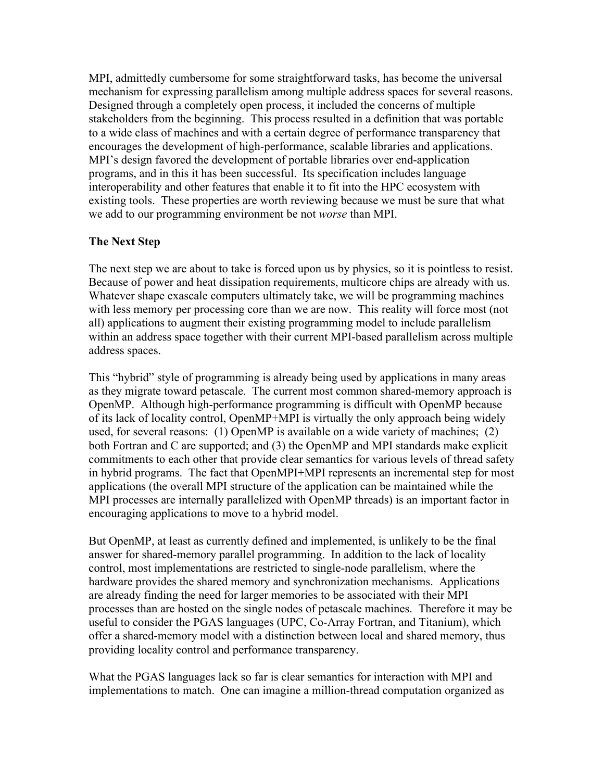MPI, admittedly cumbersome for some straightforward tasks, has become the universal mechanism for expressing parallelism among multiple address spaces for several reasons. Designed through a completely open process, it included the concerns of multiple stakeholders from the beginning. This process resulted in a definition that was portable to a wide class of machines and with a certain degree of performance transparency that encourages the development of high-performance, scalable libraries and applications. MPI's design favored the development of portable libraries over end-application programs, and in this it has been successful. Its specification includes language interoperability and other features that enable it to fit into the HPC ecosystem with existing tools. These properties are worth reviewing because we must be sure that what we add to our programming environment be not *worse* than MPI.

## **The Next Step**

The next step we are about to take is forced upon us by physics, so it is pointless to resist. Because of power and heat dissipation requirements, multicore chips are already with us. Whatever shape exascale computers ultimately take, we will be programming machines with less memory per processing core than we are now. This reality will force most (not all) applications to augment their existing programming model to include parallelism within an address space together with their current MPI-based parallelism across multiple address spaces.

This "hybrid" style of programming is already being used by applications in many areas as they migrate toward petascale. The current most common shared-memory approach is OpenMP. Although high-performance programming is difficult with OpenMP because of its lack of locality control, OpenMP+MPI is virtually the only approach being widely used, for several reasons: (1) OpenMP is available on a wide variety of machines; (2) both Fortran and C are supported; and (3) the OpenMP and MPI standards make explicit commitments to each other that provide clear semantics for various levels of thread safety in hybrid programs. The fact that OpenMPI+MPI represents an incremental step for most applications (the overall MPI structure of the application can be maintained while the MPI processes are internally parallelized with OpenMP threads) is an important factor in encouraging applications to move to a hybrid model.

But OpenMP, at least as currently defined and implemented, is unlikely to be the final answer for shared-memory parallel programming. In addition to the lack of locality control, most implementations are restricted to single-node parallelism, where the hardware provides the shared memory and synchronization mechanisms. Applications are already finding the need for larger memories to be associated with their MPI processes than are hosted on the single nodes of petascale machines. Therefore it may be useful to consider the PGAS languages (UPC, Co-Array Fortran, and Titanium), which offer a shared-memory model with a distinction between local and shared memory, thus providing locality control and performance transparency.

What the PGAS languages lack so far is clear semantics for interaction with MPI and implementations to match. One can imagine a million-thread computation organized as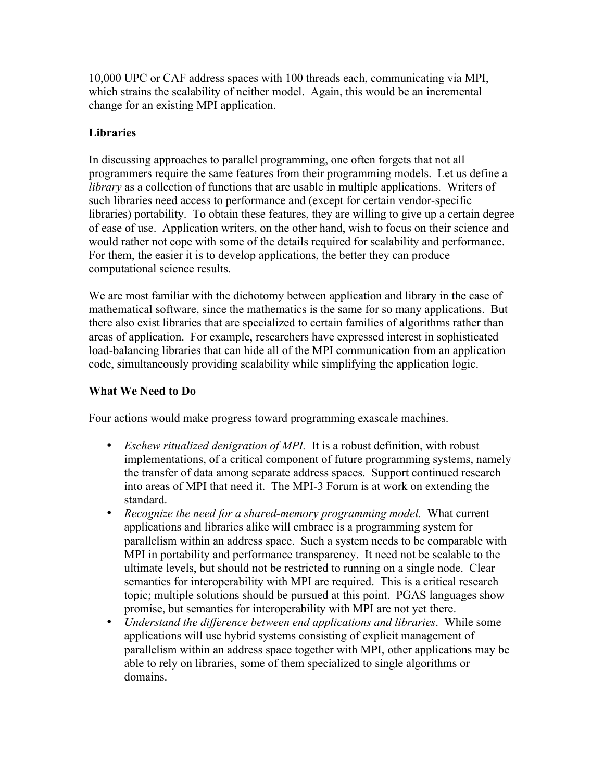10,000 UPC or CAF address spaces with 100 threads each, communicating via MPI, which strains the scalability of neither model. Again, this would be an incremental change for an existing MPI application.

## **Libraries**

In discussing approaches to parallel programming, one often forgets that not all programmers require the same features from their programming models. Let us define a *library* as a collection of functions that are usable in multiple applications. Writers of such libraries need access to performance and (except for certain vendor-specific libraries) portability. To obtain these features, they are willing to give up a certain degree of ease of use. Application writers, on the other hand, wish to focus on their science and would rather not cope with some of the details required for scalability and performance. For them, the easier it is to develop applications, the better they can produce computational science results.

We are most familiar with the dichotomy between application and library in the case of mathematical software, since the mathematics is the same for so many applications. But there also exist libraries that are specialized to certain families of algorithms rather than areas of application. For example, researchers have expressed interest in sophisticated load-balancing libraries that can hide all of the MPI communication from an application code, simultaneously providing scalability while simplifying the application logic.

# **What We Need to Do**

Four actions would make progress toward programming exascale machines.

- *Eschew ritualized denigration of MPI.* It is a robust definition, with robust implementations, of a critical component of future programming systems, namely the transfer of data among separate address spaces. Support continued research into areas of MPI that need it. The MPI-3 Forum is at work on extending the standard.
- *Recognize the need for a shared-memory programming model.* What current applications and libraries alike will embrace is a programming system for parallelism within an address space. Such a system needs to be comparable with MPI in portability and performance transparency. It need not be scalable to the ultimate levels, but should not be restricted to running on a single node. Clear semantics for interoperability with MPI are required. This is a critical research topic; multiple solutions should be pursued at this point. PGAS languages show promise, but semantics for interoperability with MPI are not yet there.
- *Understand the difference between end applications and libraries*. While some applications will use hybrid systems consisting of explicit management of parallelism within an address space together with MPI, other applications may be able to rely on libraries, some of them specialized to single algorithms or domains.